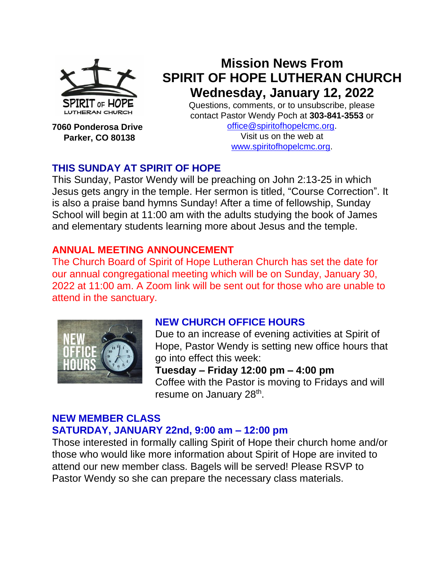

**7060 Ponderosa Drive Parker, CO 80138**

# **Mission News From SPIRIT OF HOPE LUTHERAN CHURCH Wednesday, January 12, 2022**

Questions, comments, or to unsubscribe, please contact Pastor Wendy Poch at **303-841-3553** or

[office@spiritofhopelcmc.org.](mailto:office@spiritofhopelcmc.org) Visit us on the web at [www.spiritofhopelcmc.org.](http://www.spiritofhopelcmc.org/)

# **THIS SUNDAY AT SPIRIT OF HOPE**

This Sunday, Pastor Wendy will be preaching on John 2:13-25 in which Jesus gets angry in the temple. Her sermon is titled, "Course Correction". It is also a praise band hymns Sunday! After a time of fellowship, Sunday School will begin at 11:00 am with the adults studying the book of James and elementary students learning more about Jesus and the temple.

#### **ANNUAL MEETING ANNOUNCEMENT**

The Church Board of Spirit of Hope Lutheran Church has set the date for our annual congregational meeting which will be on Sunday, January 30, 2022 at 11:00 am. A Zoom link will be sent out for those who are unable to attend in the sanctuary.



# **NEW CHURCH OFFICE HOURS**

Due to an increase of evening activities at Spirit of Hope, Pastor Wendy is setting new office hours that go into effect this week:

**Tuesday – Friday 12:00 pm – 4:00 pm** Coffee with the Pastor is moving to Fridays and will resume on January 28<sup>th</sup>.

#### **NEW MEMBER CLASS SATURDAY, JANUARY 22nd, 9:00 am – 12:00 pm**

Those interested in formally calling Spirit of Hope their church home and/or those who would like more information about Spirit of Hope are invited to attend our new member class. Bagels will be served! Please RSVP to Pastor Wendy so she can prepare the necessary class materials.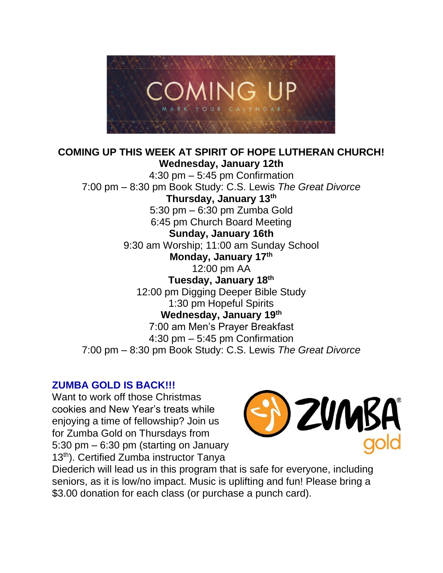

# **COMING UP THIS WEEK AT SPIRIT OF HOPE LUTHERAN CHURCH! Wednesday, January 12th** 4:30 pm – 5:45 pm Confirmation

7:00 pm – 8:30 pm Book Study: C.S. Lewis *The Great Divorce* **Thursday, January 13th** 5:30 pm – 6:30 pm Zumba Gold 6:45 pm Church Board Meeting **Sunday, January 16th** 9:30 am Worship; 11:00 am Sunday School **Monday, January 17th** 12:00 pm AA **Tuesday, January 18th** 12:00 pm Digging Deeper Bible Study 1:30 pm Hopeful Spirits **Wednesday, January 19th** 7:00 am Men's Prayer Breakfast 4:30 pm – 5:45 pm Confirmation 7:00 pm – 8:30 pm Book Study: C.S. Lewis *The Great Divorce*

#### **ZUMBA GOLD IS BACK!!!**

Want to work off those Christmas cookies and New Year's treats while enjoying a time of fellowship? Join us for Zumba Gold on Thursdays from 5:30 pm – 6:30 pm (starting on January 13<sup>th</sup>). Certified Zumba instructor Tanya



Diederich will lead us in this program that is safe for everyone, including seniors, as it is low/no impact. Music is uplifting and fun! Please bring a \$3.00 donation for each class (or purchase a punch card).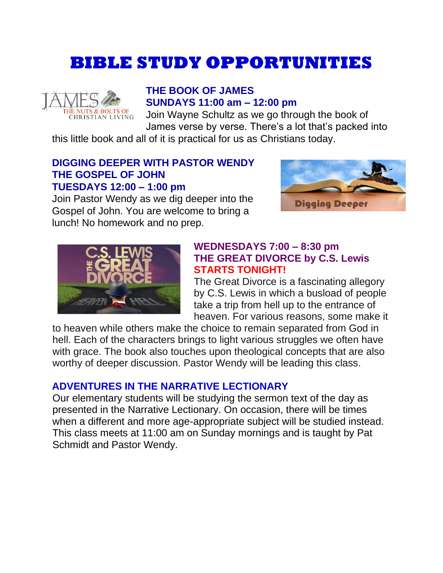# **BIBLE STUDY OPPORTUNITIES**



#### **THE BOOK OF JAMES SUNDAYS 11:00 am – 12:00 pm**

Join Wayne Schultz as we go through the book of James verse by verse. There's a lot that's packed into

this little book and all of it is practical for us as Christians today.

#### **DIGGING DEEPER WITH PASTOR WENDY THE GOSPEL OF JOHN TUESDAYS 12:00 – 1:00 pm**

Join Pastor Wendy as we dig deeper into the Gospel of John. You are welcome to bring a lunch! No homework and no prep.





#### **WEDNESDAYS 7:00 – 8:30 pm THE GREAT DIVORCE by C.S. Lewis STARTS TONIGHT!**

The Great Divorce is a fascinating allegory by C.S. Lewis in which a busload of people take a trip from hell up to the entrance of heaven. For various reasons, some make it

to heaven while others make the choice to remain separated from God in hell. Each of the characters brings to light various struggles we often have with grace. The book also touches upon theological concepts that are also worthy of deeper discussion. Pastor Wendy will be leading this class.

#### **ADVENTURES IN THE NARRATIVE LECTIONARY**

Our elementary students will be studying the sermon text of the day as presented in the Narrative Lectionary. On occasion, there will be times when a different and more age-appropriate subject will be studied instead. This class meets at 11:00 am on Sunday mornings and is taught by Pat Schmidt and Pastor Wendy.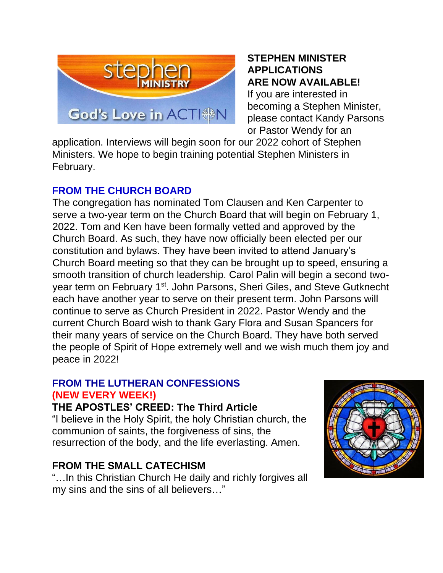

#### **STEPHEN MINISTER APPLICATIONS ARE NOW AVAILABLE!**

If you are interested in becoming a Stephen Minister, please contact Kandy Parsons or Pastor Wendy for an

application. Interviews will begin soon for our 2022 cohort of Stephen Ministers. We hope to begin training potential Stephen Ministers in February.

# **FROM THE CHURCH BOARD**

The congregation has nominated Tom Clausen and Ken Carpenter to serve a two-year term on the Church Board that will begin on February 1, 2022. Tom and Ken have been formally vetted and approved by the Church Board. As such, they have now officially been elected per our constitution and bylaws. They have been invited to attend January's Church Board meeting so that they can be brought up to speed, ensuring a smooth transition of church leadership. Carol Palin will begin a second twoyear term on February 1st. John Parsons, Sheri Giles, and Steve Gutknecht each have another year to serve on their present term. John Parsons will continue to serve as Church President in 2022. Pastor Wendy and the current Church Board wish to thank Gary Flora and Susan Spancers for their many years of service on the Church Board. They have both served the people of Spirit of Hope extremely well and we wish much them joy and peace in 2022!

#### **FROM THE LUTHERAN CONFESSIONS (NEW EVERY WEEK!)**

**THE APOSTLES' CREED: The Third Article**

"I believe in the Holy Spirit, the holy Christian church, the communion of saints, the forgiveness of sins, the resurrection of the body, and the life everlasting. Amen.

# **FROM THE SMALL CATECHISM**

"…In this Christian Church He daily and richly forgives all my sins and the sins of all believers…"

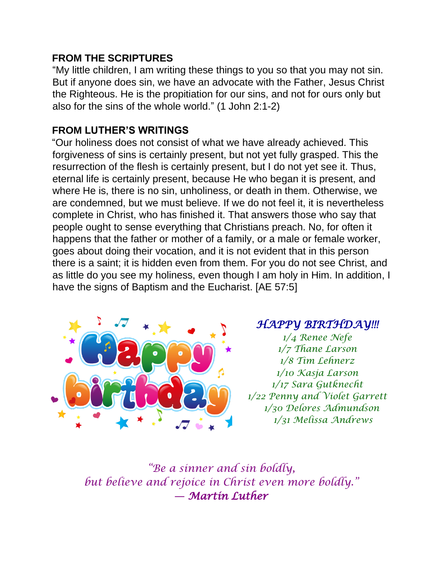# **FROM THE SCRIPTURES**

"My little children, I am writing these things to you so that you may not sin. But if anyone does sin, we have an advocate with the Father, Jesus Christ the Righteous. He is the propitiation for our sins, and not for ours only but also for the sins of the whole world." (1 John 2:1-2)

# **FROM LUTHER'S WRITINGS**

"Our holiness does not consist of what we have already achieved. This forgiveness of sins is certainly present, but not yet fully grasped. This the resurrection of the flesh is certainly present, but I do not yet see it. Thus, eternal life is certainly present, because He who began it is present, and where He is, there is no sin, unholiness, or death in them. Otherwise, we are condemned, but we must believe. If we do not feel it, it is nevertheless complete in Christ, who has finished it. That answers those who say that people ought to sense everything that Christians preach. No, for often it happens that the father or mother of a family, or a male or female worker, goes about doing their vocation, and it is not evident that in this person there is a saint; it is hidden even from them. For you do not see Christ, and as little do you see my holiness, even though I am holy in Him. In addition, I have the signs of Baptism and the Eucharist. [AE 57:5]



#### *HAPPY BIRTHDAY!!! 1/4 Renee Nefe 1/7 Thane Larson 1/8 Tim Lehnerz 1/10 Kasja Larson 1/17 Sara Gutknecht 1/22 Penny and Violet Garrett 1/30 Delores Admundson 1/31 Melissa Andrews*

*"Be a sinner and sin boldly, but believe and rejoice in Christ even more boldly."* ― *Martin Luther*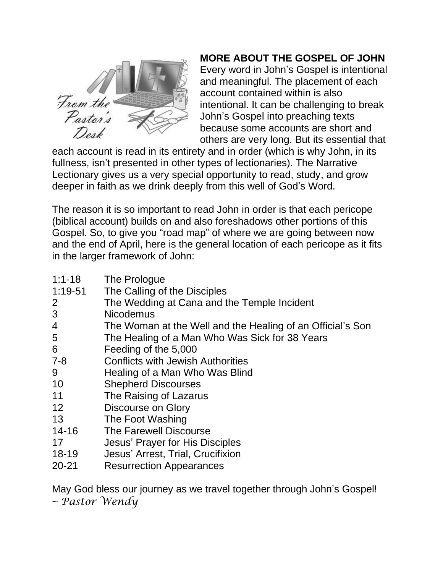

# **MORE ABOUT THE GOSPEL OF JOHN**

Every word in John's Gospel is intentional and meaningful. The placement of each account contained within is also intentional. It can be challenging to break John's Gospel into preaching texts because some accounts are short and others are very long. But its essential that

each account is read in its entirety and in order (which is why John, in its fullness, isn't presented in other types of lectionaries). The Narrative Lectionary gives us a very special opportunity to read, study, and grow deeper in faith as we drink deeply from this well of God's Word.

The reason it is so important to read John in order is that each pericope (biblical account) builds on and also foreshadows other portions of this Gospel. So, to give you "road map" of where we are going between now and the end of April, here is the general location of each pericope as it fits in the larger framework of John:

| $1:1 - 18$     | The Prologue                                               |
|----------------|------------------------------------------------------------|
| $1:19-51$      | The Calling of the Disciples                               |
| $\overline{2}$ | The Wedding at Cana and the Temple Incident                |
| 3              | <b>Nicodemus</b>                                           |
| 4              | The Woman at the Well and the Healing of an Official's Son |
| 5              | The Healing of a Man Who Was Sick for 38 Years             |
| 6              | Feeding of the 5,000                                       |
| $7 - 8$        | <b>Conflicts with Jewish Authorities</b>                   |
| 9              | Healing of a Man Who Was Blind                             |
| 10             | <b>Shepherd Discourses</b>                                 |
| 11             | The Raising of Lazarus                                     |
| 12             | <b>Discourse on Glory</b>                                  |
| 13             | The Foot Washing                                           |
| $14 - 16$      | The Farewell Discourse                                     |
| 17             | Jesus' Prayer for His Disciples                            |
| $18 - 19$      | Jesus' Arrest, Trial, Crucifixion                          |
| $20 - 21$      | <b>Resurrection Appearances</b>                            |

May God bless our journey as we travel together through John's Gospel! ~ *Pastor Wendy*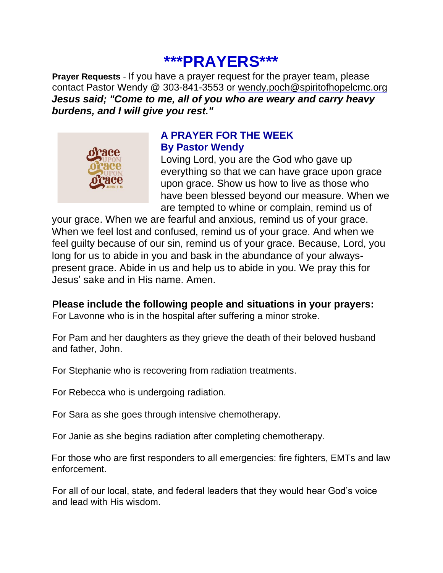# **\*\*\*PRAYERS\*\*\***

**Prayer Requests** - If you have a prayer request for the prayer team, please contact Pastor Wendy @ 303-841-3553 or wendy.poch@spiritofhopelcmc.org *Jesus said; "Come to me, all of you who are weary and carry heavy burdens, and I will give you rest."*



# **A PRAYER FOR THE WEEK By Pastor Wendy**

Loving Lord, you are the God who gave up everything so that we can have grace upon grace upon grace. Show us how to live as those who have been blessed beyond our measure. When we are tempted to whine or complain, remind us of

your grace. When we are fearful and anxious, remind us of your grace. When we feel lost and confused, remind us of your grace. And when we feel guilty because of our sin, remind us of your grace. Because, Lord, you long for us to abide in you and bask in the abundance of your alwayspresent grace. Abide in us and help us to abide in you. We pray this for Jesus' sake and in His name. Amen.

**Please include the following people and situations in your prayers:** 

For Lavonne who is in the hospital after suffering a minor stroke.

For Pam and her daughters as they grieve the death of their beloved husband and father, John.

For Stephanie who is recovering from radiation treatments.

For Rebecca who is undergoing radiation.

For Sara as she goes through intensive chemotherapy.

For Janie as she begins radiation after completing chemotherapy.

For those who are first responders to all emergencies: fire fighters, EMTs and law enforcement.

For all of our local, state, and federal leaders that they would hear God's voice and lead with His wisdom.